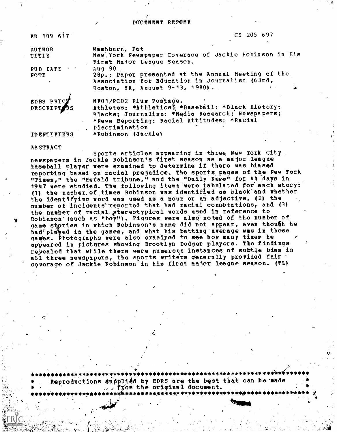DOCUMENT RESUME

| ED 189 617           | $CS$ 205 697                                                                        |
|----------------------|-------------------------------------------------------------------------------------|
| <b>AUTHOR</b>        | Washburn, Pat                                                                       |
| TITLE                | New York Newspaper Coverage of Jackie Robinson in His<br>First Major League Season. |
| PUB DATE             | Aug 80                                                                              |
| <b>NOTE</b>          | 28p.: Paper presented at the Annual Meeting of the                                  |
|                      | Association for Bducation in Journalism (63rd,                                      |
|                      | Boston, MA, August 9-13, 1980).                                                     |
| EDRS PRICE           | MF01/PC02 Plus Postage.                                                             |
|                      | Athletes: *Athleticsä *Baseball: *Black History:                                    |
|                      | Blacks; Journalism: * Media Research: Newspapers:                                   |
| $\overline{\bullet}$ | *News Reporting: Racial Attitudes: *Racial                                          |
|                      | Discrimination                                                                      |
| <b>IDENTIFIERS</b>   | *Robinson (Jackie)                                                                  |

**ABSTRACT** 

Sports articles appearing in three New York City. newspapers in Jackie Robinson's first season as a major league taseball player were examined to determine if there was biased reporting based on racial prejudice. The sports pages of the New York "Times," the "Herald Tribune," and the "Daily News" for 44 days in 1947 were studied. The following items were tabulated for each story: (1) the number of times Robinson was identified as black and whether the identifying word was used as a noun or an adjective, (2) the number of incidents reported that had racial connotations, and (3) the number of racial stereotypical words used in reference to Robinson (such as "boy"). Piqures were also noted of the number of game stories in which Robinson's name did not appear, even though he had<sup>3</sup> played in the games, and what his batting average was in those games. Photographs were also examined to see how many times he appeared in pictures showing Brooklyn Dodger players. The findings rewealed that while there were numerous instances of subtle bias in all three newspapers, the sports writers generally provided fair ' coverage of Jackie Robinson in his first major league season. (FL)

the state of the state of the state of the state Reproductions supplied by EDRS are the best that can be made . from the original document.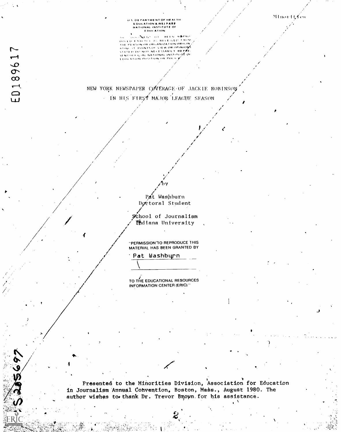## Minorit of es

# - DEPARTMENT OF HEALTH<br>EDUCATION & WELFARE<br>NATIONAL INSTITUTE OF<br>- EDULATION

National contractors when AS RECEIVED FROM **GLANNITIES** PERSON OR ORGANIZATION ORIGIN **THE RESON OR ORGANIZATION ORIGINAL**<br>STATED TO NOT NEE ESSARRY WREPSE<br>STATED TO NOT NEE ESSARRY WREPSE<br>STATED FILIAL NATIONAL INSTITUIS OF<br>NEWSWORLORGANIZATION ORIGINAL<br>TINE PERSON OR ORGANIZATION ORIGINAL

ED189617

**169** 

NEW YORK NEWSPAPER COVERAGE OF JACKIE ROBINSON - IN HIS FIRST MAJOR LEAGUE SEASON

> Pat Washburn Doctoral Student

School of Journalism fidiana University

"PERMISSION TO REPRODUCE THIS MATERIAL HAS BEEN GRANTED BY

Pat Washburn

TO THE EDUCATIONAL RESOURCES INFORMATION CENTER (ERIC)."

Presented to the Minorities Division, Association for Education in Journalism Annual Convention, Boston, Mass., August 1980. The author wishes to thank Dr. Trevor Brown for his assistance.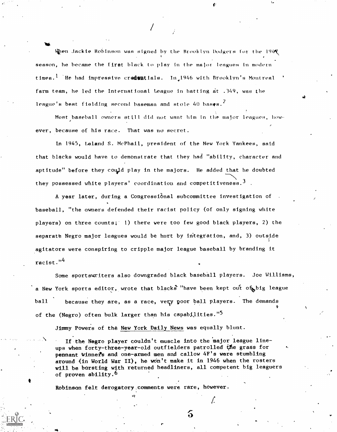When Jackie Robinson was signed by the Brooklyn Dodgers for the  $194$ season, he became the first black to play in the major leagues in modern times.<sup>1</sup> He had impressive cradentials. In 1946 with Brooklyn's Montreal farm team, he led the International League in batting at .149, was the league's best fielding second baseman and stole 40 bases.<sup>2</sup>

Most baseball owners still did not want him in the major leagues, how- $\lambda$ , and the same  $\lambda$ ever, because of his race. That was no secret.

 $\mathbf{a}$ 

Ln 1945, Leland S. McPhail, president of the New York Yankees, said that blacks would have to demonstrate that they had "ability, character and aptitude" before they could play in the majors. He added that he doubted  $\sqrt{N}$ they possessed white players' coordination and competitiveness.<sup>3</sup>.

A year later, during a Congressional subcommittee investigation of baseball, "the owners defended their racist policy (of only signing white players) on three counts; 1) there were too few good black players, 2) the separate Negro major leagues would be hurt by integration, and, 3) outside .agitators were conspiring to cripple major league baseball by branding it  $racts.<sup>14</sup>$ 

Some sportswriters also downgraded black baseball players. Joe Williams, a New York sports editor, wrote that blacks "have been kept out of big league ball because they are, as a race, very poor ball players. The demands of the (Negro) often bulk larger than his capabilities."<sup>5</sup>

Jimmy Powers of the New York Daily News was equally blunt.

N If the Negro player couldn't muscle into the 'major league lineups when forty-three-year-old outfielders patrolled the grass for pennant Winnefs and one-armed men and callow 4F's were stumbling around (in World War II), he won't make it in 1946 when the rosters will be bursting with returned headliners, all competent big leaguers of proven ability.<sup>6</sup>

Robinson felt derogatory comments were rare, however.

ခ

Í.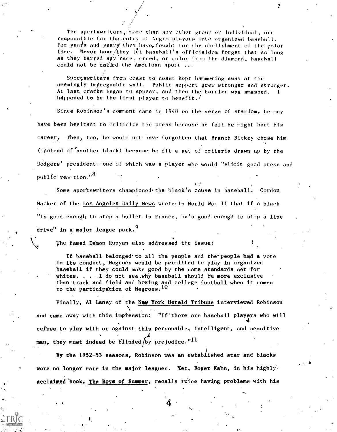The sportswriters, more than any other group or individual, are responsible for the entry of Negro players into organized baseball. For years and yeary they have, fought for the abolishment of the color line. Never have/they let baseball's officialdom forget that as long as they barred any race, creed, or color from the diamond, baseball could not be called the American sport  $\dots$ 

Sportswriters from coast to coast kept hammering away at the seemingly impregnable wall. Public support grew stronger and stronger. At last cracks began to appear, and then the barrier was smashed. I happened to be the first player to benefit.<sup>7</sup>

Since Robinson's comment came in 1948 on the verge of stardom, he may have been hesitant to criticize the press because he felt he might hurt his career, Then, too, he would not have forgotten that Branch Rickey chose him (instead of another black) because he fit a set of criteria drawn up by the Dodgers' president--one of which was a player who would "elicit good press and public reaction." $^{8}$ 

Some sportswriters championed the black's cause in baseball. Gordon Macker of the Los Angeles Daily News wrote in World War II that if a black "is good enough to stop a bullet in France, he's good enough to stop a line  $dr$ ive" in a major league park.<sup>9</sup>

The famed Damon Runyan also addressed the issue:

7

If baseball belonged to all the people and the people had a vote in its conduct, Negroes would be permitted to play in organized baseball if they could make good by the same standards set for whites.  $\ldots$  . I do not see, why baseball should be more exclusive than track and field and boxing and college football when it comes to the participation of Negroes.  $10$ 

Finally, Al Laney of the New York Herald Tribune interviewed Robinson and came away with this imptesslon: "If'there are baseball players who will  $\mathbf{4}^{\prime}$ refuse to play with or against this personable, intelligent, and sensitive man, they must indeed be blinded by prejudice." $11$ 

By the 1952-53 seasons, Robinson was an established star and blacks were no longer rare in the major leagues. Yet, Roger Kahn, in his highlyacclaimed book, The Boys of Summer, recalls twice having problems with his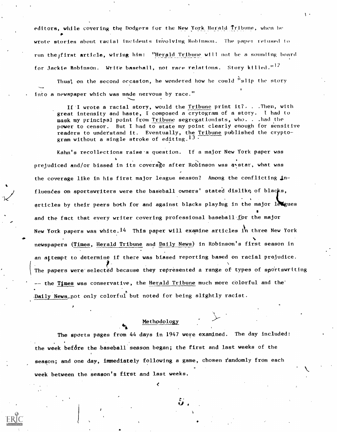editors, while covering the Dodgers for the New York Herald Tribune, when he wrote stories about racial incidents involving Robinson. The paper refused to run the first article, wiring him: "Herald Tribune will not be a sounding board for Jackie Robinson. Write baseball, not race relations. Story killed." $^{12}$ 

Thus, on the second occasion, he wondered how he could  $"slip$  the story Into a newspaper which was made nervous by race."

If I wrote a racial story, would the Tribune print  $it?$ ...Then, with great intensity and haste, I composed a crytogram of a story. <sup>I</sup> had to mask my principal point from Tribune segregationists, who. . . had the power to censor. But I had to state my point clearly enough for sensitive readers to understand it. Eventually, the <u>Tribune</u> published the cryptogram without a single stroke of editing. $^{13+}$ 

Kahn's recollections raise-a question. If a major New York paper was prejudiced and/or biased in its coverage after Robinson was a star, what was the coverage like in his first major league season? Among the conflicting influences on sportswriters were the baseball owners' stated dislike of blacks, articles by their peers both for and against blacks playing in the major leveues and the fact that every writer covering professional baseball for the major New York papers was white.<sup>14</sup> This paper will examine articles in three New York newspapers (Times, Herald Tribune and Daily News) in Robinson's first season in an attempt to determine if there was biased reporting based on racial prejudice. The papers were selected because they represented a range of types of sportswriting -- the Times was conservative, the Herald Tribune much more colorful and the' Daily News\_not only colorful but noted for being slightly racist.

#### Methodology

44%

The sports pages from 44 days in 1947 were examined. The day included: the week before the baseball season began; the first and last weeks of the season; and one day, immediately following a game, chosen randomly from each week between the season's first and last weeks.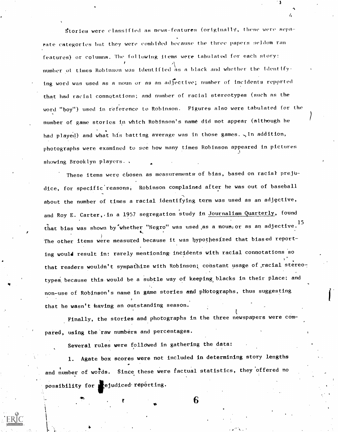Stories were classified as news-features (originally, these were separate categories but they were combined because the three papers seldom ran features) or columns. The following items were tabulatod for each story:  $\Lambda$  a black number oi times Robinson was identified as a black and whether the Identifying word was used as a noun or as an adrective; number of incidents repprted that had racial connotations; and nnmber of racial stereotypes (such as the word "boy") used in feference to Robinson. Figures also were tabulated for the number of game stories in which Robinson's name did not appear (although he had played) and what his batting average was in those games.  $\sqrt{n}$  addition, photographs were examined to see how many times Robinson appeared in pictures showing Brooklyn players..

3

These items were chosen as measurements of bias, based on racial prejudice, for specific reasons, Robinson complained after he was out of baseball about the number of times a racial identifying term was used as an adjective, and Roy E. Carter, in a 1957 segregation study in Journalism Quarterly, found that bias was shown by whether "Negro" was used as a noun, or as an adjective.<sup>15</sup> The other items were measured because it was hypothesized that biased reporting would result in: rarely mentioning- incidents with racial connotations 'so that readers wouldn't sympathize with Robinson; constant usage of racial stereotypes because this would be a subtle way of keeping blacks in their place; and non-use of Robinson's name in game stories and pHotographs, thus suggesting that he wasn't having an outstanding season.

Finally, the stories and photographs in the three newspapers were compared, using the raw numbers and percentages.

Several rules were followed in gathering the data:

fi

1. Agate box scores were not included in determining story lengths and number of words. Since these were factual statistics, they offered no possibility for **i** ejudiced reporting.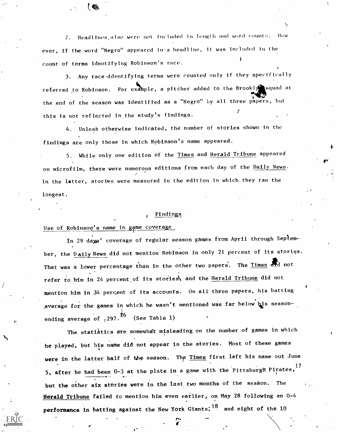Headlines, also were not included in length and word counts. How ever, if the word "Negro" appeared in-a headline, it was included in the count of terms identifying Robinson's race.

3. Any race-identifying terms were counted only if they specifically referred to Robinson. For example, a pitcher added to the Brookly squad at the end of the season was identified as a "Negro" by all three papers, but this is not reflected in the study's findings.

4. Unlesb otherwise indicated, the number of stories shown in the findings are only those in which Robinson's name appeared.

5. While only one edition of the Times and Herald Tribune appeared on microfilm, there were numerous editions from each day of the Daily News. In the latter, stories were measured in the edition in which they ran the longest.

#### <sup>0</sup> Findings

# Use of Robinson's name in game coverage

1-

In 29 days' coverage of regular season games from April through September, the Daily News did not mention Robinson in only 21 percent of its stories. That was a lower percentage than in the other two papers. The Times and not refer to him in 24 percent of its stories, and the Herald Tribune did not mention him in 34 percent of its accounts. On all three papers, his batting average for the games in which he wasn't mentioned was far below his seasonending average of  $,297.^{\text{{\tiny 10}}}$  (See Table 1)

The statistics are somewhat misleading on the number of games in which he played, but his name did not appear in the stories. Most of these games were in the latter half of the season. The Times first left his name out June 5, after he had been 0-3 at the plate in a game with the Pittsburgft Pirates, 17 but the other six stories were in the last two months of the season. The Herald Tribune failed to mention him even earlier, on May 28 following an 0-4 performance in batting against the New York Giants;  $18$  and eight of the 10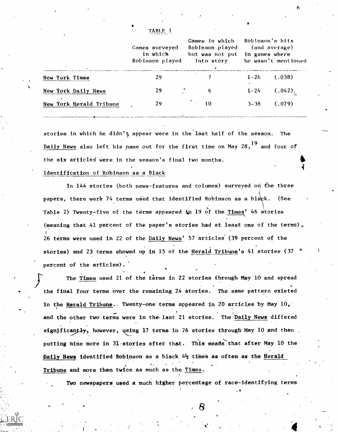|                         | Games surveyed<br>in which<br>Robinson played | Games in which<br>Robinson played<br>but was not put<br>into story | Robinson's hits<br>(and average)<br>in games where<br>he wasn't mentioned |  |
|-------------------------|-----------------------------------------------|--------------------------------------------------------------------|---------------------------------------------------------------------------|--|
| <b>New York Times</b>   | 29                                            |                                                                    | $1 - 26$<br>(.038)                                                        |  |
| New York Daily News     | 29                                            | 6                                                                  | (.042)<br>$1 - 24$                                                        |  |
| New York Herald Tribune | 29                                            | 10                                                                 | (.079)<br>$3 - 38$                                                        |  |

TABLE 1

stories in which he didn't appear were in the last half of the season. The Daily News also left his name out for the first time on May  $28,^{19}$  and four of the six articles were in the season's final two months.

## Identification of Robinson as a Black

In 144 stories (both news-features and columns) surveyed on the three papers, there were 74 terms used that identified Robinson as a black. (See Table 2) Twenty-five of the terms appeared **i**n 19 of the <u>Times</u>' 46 stories (meaning that 41 percent of the paper's stories had at least one of the terms), 1 26 terms were used in 22 of the Daily News' 57 articles' (39 percent of the stories) and 23 terms showed up in 15 of the Herald Tribune's 41 stories (37 percent of the articles).

The Times used 21 of the terms in 22 stories through May 10 and spread the final four terms over the remaining 24 stories. The same pattern existed in the Herald Tribune. Twenty-one terms appeared in 20 articles by May 10, and the other two terms were in the last 21 stories. The Daily News differed significantly, however, using 17 terms in 26 stories through May 10 and then putting nine more in 31 stories after that. This means that after May 10 the Daily News identified Robinson as a black  $4\frac{1}{2}$  times as often as the Herald Tribune and more than twice as much as the Times:

Two newspapers used a much higher percentage of race-identifying terms

.et al. and

4

 $\mathfrak{b}$  and  $\mathfrak{b}$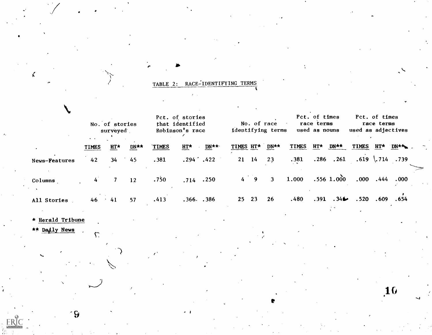|  | TABLE 2: RACE-IDENTIFYING TERMS |  |
|--|---------------------------------|--|
|  |                                 |  |
|  |                                 |  |

 $\blacksquare$ 

|               | No. of stories<br>surveyed<br>$\bullet$ $\bullet$ |            |      | Pct. of stories<br>that identified<br>Robinson's race |                |      | No. of race<br>identifying terms |             |                |              | Pct. of times<br>race terms<br>used as nouns |                  |              | Pct. of times<br>race terms<br>used as adjectives |                   |  |
|---------------|---------------------------------------------------|------------|------|-------------------------------------------------------|----------------|------|----------------------------------|-------------|----------------|--------------|----------------------------------------------|------------------|--------------|---------------------------------------------------|-------------------|--|
|               | <b>TIMES</b>                                      | HT*        | DN** | <b>TIMES</b>                                          | $HT^*$         | DN** | TIMES HT*                        |             | DN**           | <b>TIMES</b> | HT*                                          | DN**             | <b>TIMES</b> | HT*                                               | <b>DN**</b>       |  |
| News-Features | 42                                                | 34         | 45   | .381                                                  | $.294 \t .422$ |      |                                  | $21 \t14$   | 23             | .381         | .286                                         | .261             |              |                                                   | $.619$ \.714 .739 |  |
| Columns       | 4 <sup>1</sup>                                    |            | 12   | .750                                                  | $.714$ $.250$  |      |                                  | $4 \quad 9$ | $\overline{3}$ | 1.000        |                                              | $.556$ 1.000     | .000         | .444                                              | .000              |  |
| All Stories   | 46                                                | $\cdot$ 41 | 57   | .413                                                  | .366. .386     |      |                                  | 25 23       | 26             | .480         | .391                                         | .34 <sub>•</sub> | .520         | .609                                              | .654              |  |

r

**Production** 

10

\* Herald Tribune

,)

 $\mathbf{c}$ ,  $\mathbf{c}$ ,  $\mathbf{c}$ ,  $\mathbf{c}$ ,  $\mathbf{c}$ ,  $\mathbf{c}$ ,  $\mathbf{c}$ ,  $\mathbf{c}$ ,  $\mathbf{c}$ ,  $\mathbf{c}$ ,  $\mathbf{c}$ ,  $\mathbf{c}$ ,  $\mathbf{c}$ ,  $\mathbf{c}$ ,  $\mathbf{c}$ ,  $\mathbf{c}$ ,  $\mathbf{c}$ ,  $\mathbf{c}$ ,  $\mathbf{c}$ ,  $\mathbf{c}$ ,  $\mathbf{c}$ ,  $\mathbf{c}$ ,

\*\* Dadly News  $\sqrt{2}$ 

V

 $\mathcal{L}_{\mathbf{a}}$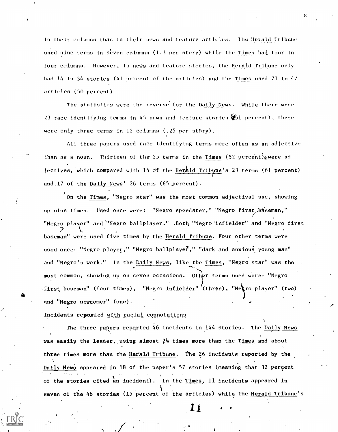in their columns than in their news and ieature articles. The Herald Tribune used nine terms in seven columns (1.3 per story) while the Times had tour in four columns. However, in news and feature stories, the Herald Tribune only had 14 in 34 stories (41 percent of the articles) and the Times used 21 in 42 articles (50 percent).

The statistics were the reverse for the Daily News. While there were 23 race-identifying terms in 45 news and feature stories  $\frac{1}{2}$ 51 percent), there were only three terms in 12 columns (.25 per stbry).

All three papers used race-identifying terms more often as an adjective than as a noun. Thirteen of the 25 terms in the Times (52 percent) were adjectives, which compared with  $14$  of the Herald Tribune's 23 terms (61 percent) and 17 of the Daily News' 26 terms (65 percent).

On the Times, "Negro star" was the most common adjectival use, showing up nine times. Used once were: "Negro speedster," "Negro first baseman," "Negro player" and "Negro ballplayer." .Both "Negro 'infielder" and "Negro first baseman" were used five times by the Herald Tribune. Four other terms were used once: "Negro player," "Negro ballplayer," "dark and anxious young man" and "Negro's work." In the Daily News, like the Times, "Negro star" was the most common, showing up on seven occasions. Other terms used were: "Negro  $\cdot$ first baseman" (four times), "Negro infielder" (three), "Negro player" (two) 2 and "Negro newcomer" (one).

### Incidents reported with racial connotations

4

The three papers reported 46 incidents in 144 stories. The Daily News was easily the leader, using almost  $2\frac{1}{2}$  times more than the Times and about three times more than the Herald Tribune. The 26 incidents reported by the % Daily News appeared in 18 of the paper's 57 stories (meaning that 32 percent of the stories cited an incident). In the Times, 11 incidents appeared in seven of the 46 stories (15 percent of the articles) while the Herald Tribune's

l i

 $\mathbf{V} = \mathbf{V}$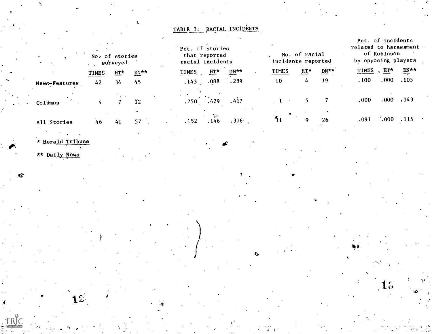TABLE 3: RACIAL INCIDENTS

t.

| No. of stories<br>surveyed |              |     |                  | Pct. of stories<br>racial incidents | that reported |       | incidents reported | No. of racial    |      | Pct. of incidents<br>related to harassment<br>of Robinson<br>by opposing players |          |                    |  |
|----------------------------|--------------|-----|------------------|-------------------------------------|---------------|-------|--------------------|------------------|------|----------------------------------------------------------------------------------|----------|--------------------|--|
|                            | <b>TIMES</b> | HT* | $DN**$           | <b>TIMES</b>                        | HT*           | DN**  | TIMES              | $H_{\mathbf{I}}$ | DN** | TIMES                                                                            | , $HT^*$ | $\overline{DN}$ ** |  |
| News-Features              | 42           | 34  | 45               | .143                                | .088          | .289  | 10 <sup>°</sup>    | 4                | 19   | .100                                                                             | .000     | .105               |  |
| Columns                    | 4            |     | $\mathbf{r}_{2}$ | .250                                | .429          | .417  |                    |                  |      | .000                                                                             | .000     | .143               |  |
| All Stories                | 46           | 41  | 57               | .152                                | .146          | .316· |                    |                  | 26   | .091                                                                             | .000     | .115               |  |
|                            |              |     |                  |                                     |               |       |                    |                  |      |                                                                                  |          |                    |  |

15

\* Herald Tribune

 $12<sub>1</sub>$ 

\*\* Daily News

S.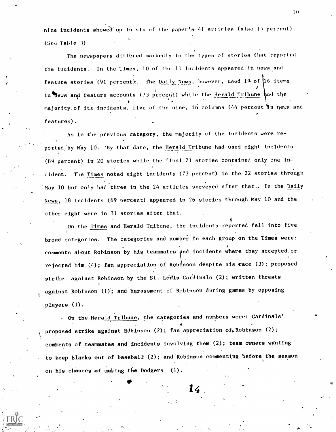nine incidents showed up in six of the paper's 41 articles (also 15 percent). (See Table 3)

The newspapers differed markedly in the types of stories that reported the incidents. In the Times, 10 of the 11 incidents appeared In news and feature stories (91 percent). The Daily News, however, used 19 of  $26$  items in hews and feature accounts (73 percent) while the Herald Tribune had the majority of its incidents, five of the nine, in columns (44 percent in news and features).

As in the previous category, the majority of the incidents were re ported by May 10. By that date, the Herald Tribune had used eight incidents (89 percent) in 20 stories while the final 21 stories contained only one incident. The Times noted eight incidents (73 percent) in the 22 stories through May 10 but only had three in the 24 articles surveyed after that.. In the Daily News, 18 incidents (69 percent) appeared in 26 stories through May 10 and the other eight were in 31 stories after that.

On the Times and Herald Tribune, the incidents reported fell into five broad categories. The categories and number in each group on the Times were: comments about Robinson by his teammates and incidents where they accepted or rejected him  $(4)$ ; fan appreciation of Robinson despite his race  $(3)$ ; proposed strike against Robinson by the St. Louis Cardinals (2); written threats against Robinson (1); and harassment of Robinson during games by opposing **1** *i 1 i 1* players (1).

- On the Herald Tribune, the categories and numbers were: Cardinals' proposed strike against Rdbinson (2); fan appreciation of, Robinson (2); comments of teammates and incidents involving them (2); team owners wanting to keep blacks out of baseball  $(2)$ ; and Robinson commenting before the season on his chances of making the Dodgers (1).

14.

 $\blacktriangledown$  and  $\blacktriangledown$ 

 $1<sub>0</sub>$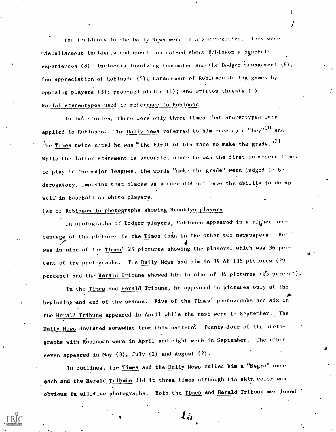The incidents in the Daily News were in six categories. They were: miscellaneous incidents and questions raised about Robinson's baseball experiences (8); incidents involving teammates and the Dodger management (8); fan appreciation of Robinson (5) ; harassment of Robinson during games by opposing players  $(3)$ ; proposed strike  $(1)$ ; and written threats  $(1)$ . Racial stereotypes used in reference to Robinson

In 144 stories, there were only three times that stereotypes were applied to Robinson. The <u>Daily News</u> referred to him once as a "boy"  $^{20}$  and the Times twice noted he was "the first of his race to make the grade." $^{21}$ While the latter statement is accurate, since he was the first in modern times to play in the major leagues, the words "make the grade" were judged to be derogatory, implying.that blacks as a race did not have the ability to do as well in baseball as white players.

# Use of Robinson in photographs showing Brooklyn players

In photographs of Dodger players, Robinson appeared in a higher percentage of the pictures in the Times than in the other two newspapers. He'  $\ddot{\mathbf{t}}$ was in nine of the <u>Times</u>' 25 pictures showing the players, which was 36 percent of the photographs. The Daily News had him in 39 of 135 pictures (29 percent) and the Herald Tribune showed him in nine of 36 pictures (25 percent).

In the Times and Herald Tribune, he appeared in pictures only at the  $\blacktriangleright$   $\blacktriangleright$ beginning and end of the season. Five of the Times' photographs and six in the Herald Tribune appeared in April while the rest were in September. The Daily News deviated somewhat from this pattern<sup>9</sup>. Twenty-four of its photographs with Robinson were in April and eight were in September. The other seven appeared in May (3), July (2) and August (2).

In cutlines, the Times and the Daily News called him a "Negro" once each and the **Herald Tribune** did it three times although his skin color was obvious in all five photographs. Both the Times and Herald Tribune mentioned

 $\boldsymbol{l}$   $\boldsymbol{\omega}$ 

 $\mathbf{1}$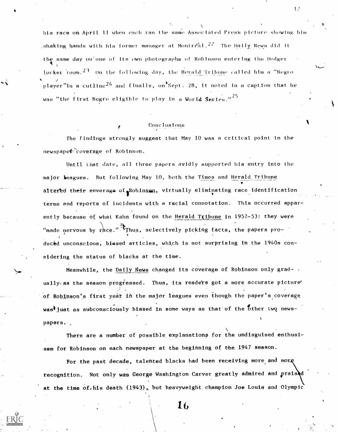his race on April 11 when each ran the same Associated Press picture showing him ,shaking hands with his former manager at Montr $\tilde{\mathfrak{c}}$ al. $^{2,2}$  The Daily News did it the same day on'one of its own photographs of Robinson entering tho Dodger and a series of the series of the series of the series of the series of the series of the series of the series locker room.  $23$  On the following day, the Herald Tribune called him a "Negro"  $*$   $\prime$ player"in a cutline<sup>24</sup> and finally, on Sept. 28, it noted in a caption that he was "the first Negro eligible to play in a World Series."<sup>25</sup>

#### Conclusions

The findings strongly suggest that May 10 was a critical point in the newspape<sup>2</sup> coverage of Robinson.

Until that date, all three papers avidly supported his entry into the major leagues. But following May 10, both the Times and Herald Tribune altered their eoverage of Robinson, virtually eliminating race identification terms and reports of Incidents with a racial connotation. This occurred apparently because of what Kahn found on the Herald Tribune in 1952-53: they were "made nervous by race."<sup>3</sup> Thus, selectively picking facts, the papers prov i duced unconscious, biased articles, which is not surprising in the 1940s considering the status of blacks at the time.

Meanwhile, the Daily News changed its coverage of Robinson only grad- . ually as the season progressed. Thus, its readers got a more accurate picture' of Robinaon's first year in the major leagues even though the paper's coverage wast just as subconsciously biased in some ways as that of the other two newspapers.

There are a number of possible explanations for the undisguised enthusiasm for Robinson on each newspaper at the beginning of the 1947 season.

For the past decade, talented blacks had been receiving more and more recognition. Not only was George Washington Carver greatly admired and praised at the time of, his death (1943), but heavyweight champion Joe Louis and Olympic

16

 $\mathbf{L}^{\prime}$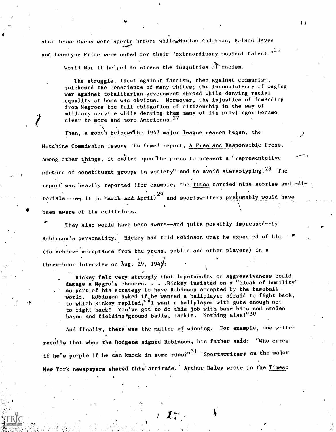star Jesse Owens were sports heroes while Marian Anderson, Roland Hayes ftwie in de staatstelling wurdt de staatstelling wurdt de staatstelling wurdt de staatstelling wurdt de staats<br>De staatstelling wurdt de staatstelling wurdt de staatstelling wurdt de staatstelling wurdt de staatstelling w and Leontyne Price were noted for their "extraordinary musical talent.  $26 - 7$ 

World War II helped to stress the inequities  $\overrightarrow{OP}$  racism.

The struggle, first against fascism, then against communism, quickened the conscience of many whites; the inconsistency of waging war against totalitarian government abroad while denying racial equality at home was obvious. Moreover, the injustice of demanding from Negroes the full obligation of citizenship in the way of military service while denying them many of its privileges became clear to more and more Americans.<sup>27</sup>

 $1<sub>3</sub>$ 

Then, a month beforethe 1947 major league season began, the Hutchins Commission issues its famed report, A Free and Responsible Press. Among other things, it called upon the press to present a "representative picture of constituent groups in society" and to avoid stereotyping.<sup>28</sup> The report was heavily reported (for example, the *Times* carried nine stories and edit<del>orials on</del> it in March and April) and s  $29$  and sportswriters presumably would have been aware of its criticisms.

They also would have been aware--and quite possibly impressed--by Robinson's personality. Rickey had told Robinson what he expected of him (to achieve acceptance from the press, public and other players) in a three-hour interview on  $\lambda$ ug. 29, 1949:

Rickey felt very strongly that impetuosity or aggressiveness could damage a Negro's chances. . . . Rickey insisted on a "cloak of humility" as part of his strategy to have Robinson accepted by the basebalj world. Robinson asked if he wanted a ballplayer afraid to fight back, to which Rickey replied,<sup>""</sup>I want a ballplayer with guts enough not to fight back! You've got to do this job with base hits and stolen bases and fielding'ground balls, Jackie. Nothing else!"30

And finally, there was the matter of winning. For example, one writer recalls that when the Dodgers signed Robinson, his father said: "Who cares if he's purple if he can knock in some runs?" $\mathrm{^{31}}$  Sportswriters on the major New York newspapers shared this attitude. Arthur Daley wrote in the Times: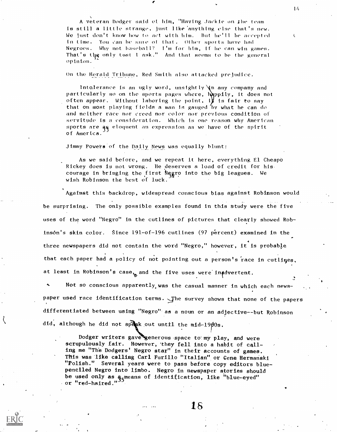$\mathbf{v} = \mathbf{v}$ A veteran Dodger said ot him, "Having Jackie on Ihe team is still a little strange, just like 'anything else that's new. We lust don't know how to act with him. But he'll he accepted in time. You can he sine of that. Other sports have had Negroes. Why not baseball? I'm for him, if he can win games. That's the only tost I ask." And that seems to be the general opinion.

on the Herald Trihune, Red Smith also attacked prejudice.

Intolerance is an ugly word, unsightly  $\lambda$ n any company and particularly so on the sports pages where, happily, it does not often appear. Without laboring the point, if is fair to say that on most playing fields a man is gauged by what he can do and neither race nor creed nor color nor previous condition of servitude is a consideration. Which is one reason why American sports are  $q\bar{q}$  eloquent an expression as we have of the spirit of America.

Jimmy Powers of the Daily News was equally blunt:

As we said before, and we repeat it here, everything El Cheapo Rickey does is not wrong. He deserves a load of credit for his. courage in bringing the first Negro into the big leagues. We wish Robinson the best of luck.

Against this backdrop, widespread conscious bias against Robinson would be surprising. The only possible examples found in this study were the five uses of the word "Negro" in the cutlines of pictures that clearly showed Robinson's skin color. Since  $191$ -of- $196$  cutlines (97 percent) examined in the three newspapers did not contain the word "Negro," however, it is probable that each paper had a policy of not pointing out a person's race in cutlines, at least in Robinson's case, and the five uses were inadvertent.

Not so conscious apparently was the casual manner in which each newspaper used race identification terms. The survey shows that none of the papers differentiated between using "Negro" as a noun or an adjective--but Robinson did, although he did not speak out until the mid-19 $\beta$ 0s.

Dodger writers gave generous space to my play, and were scrupulously fair. However, they fell into a habit of calling me "The Dodgers' Negro star" in their accounts of games. This was.like calling Carl Furillo "Italian" or Gene Hermanski "Polish." Several years were to pass before copy editors bluepenciled Negro into limbo. Negro in newspaper stories should be used only as  $a_{\epsilon}$ means of identification, like "blue-eyed" or "red-haired."<sup>35</sup>.

18

 $14$ 

t,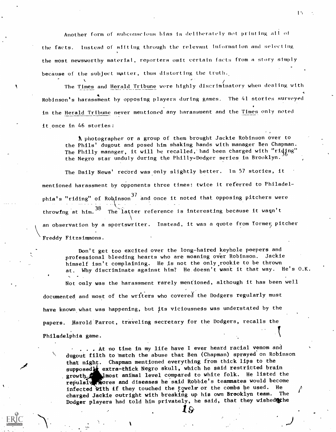Another form of subconscious bias is deliberately not printing all oi the facts. Instead of sifting through the relevant information and selecting the most newsworthy material, reporters omit certain facts from a story simply because of the subject matter, thus distorting the truth.

The Times and Herald Tribune were highly discriminatory when dealing with A Robinson's harassment by opposing players during games. The 41 stories surveyed in the Herald Tribune never mentioned any harassment and the Times onty noted it once in 46 stories:

A photographer or a group of them brought Jackie Robinson over to the Phils' dugout and posed him shaking hands with manager Ben Chapman. The Philly manager, it will be recalled, had been charged with "riding" the Negro star unduly during the Philly-Dodger series in Brooklyn.

The Daily News' record was only slightly better. In 57 stories, it mentioned harassment by opponents three times: twice it referred to Philadelphia's "riding" of Robinson<sup>37</sup> and once it noted that opposing pitchers were throwing at him.<sup>38</sup> The latter reference is interesting because it wagn't  $\mathbf{V}$  and  $\mathbf{V}$ an observation by a sportswriter. Instead, it was a quote from former pitcher Freddy Fitzsimmons.

Don't get too excited over the long-haired keyhole peepers and professional bleeding hearts who are moaning over Robinson. Jackie himself isn't complaining. He is not the only,rookie to be thrown at. Why discriminate against him? He doesn't want it that way. He's O.K. Not only was the harassment rarely mentioned, although it has been well documented and most of the writers who covered the Dodgers regularly must have known what was happening, but its viciousness was understated by the papers. Harold Parrot, traveling secretary for the Dodgers, recalls the

Philadelphia game.

. . . At no time in my life have I ever heard racial venom and dugout filth to match the abuse that Ben (Chapman) sprayed on Robinson that night. Chapman mentioned everything from thick lips to the supposed **t** extra-thick Negro skull, which he said restricted brain growth lmost animal level compared to white folk. He listed the repulsive Rores and diseases he said Robbie's teammates would become infected with if they touched the towels or the combs he used. He charged Jackie outright with breaking up his own Brooklyn team. The Dodger players had told him privately, he said, that they wished the

19

 $1<sup>5</sup>$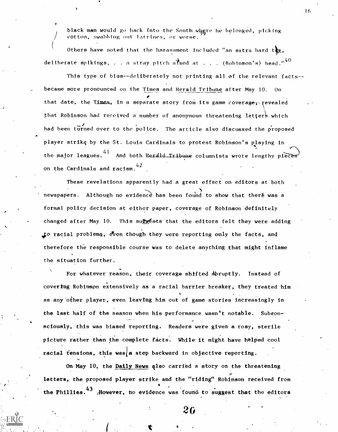black man would go back into the South whgre he belonged, picking cotton, swabbing oot latrines, or worse.

 $\mathcal{V}(\mathcal{A})$ Others have noted that the harassment included "an extra hard  $t_{\rm dR}$ , deliberate spikings, . . a stray pitch almed at . . . (Robinson's) head."<sup>40</sup>

If This type of bias--deliberately not printing all of the relevant facts-became more pronounced on the Times and Herald Tribune after May 10. On that date, the Times, in a separate story from its game coverage, revealed that Robinson had received a number of anonymous threatening letters which had been turned over to the police. The article also discussed the proposed player strikę by the St. Louis Cardinals to protest Robinson's playing in the major leagues.  $41\,$  And both Herald Tribune columnists wrote lengthy pieces  $\,$ on the Cardinals and racism.  $42$ 

These revelations apparently had a great effect on editors at both newspapers. Although no evidence has been found to show that there was a formal policy decision at either paper, coverage of Robinson definitely changed after May 10. This suggésts that the editors felt they were adding to racial problems, even though they were reporting only the facts, and therefore the responsible course was to delete anything that might inflame the situation further.

For whatever reason, their coverage shifted 4brupt1y. Instead of covering Robinson extensively as a racial barrier breaker, they treated him A as any other player, even leaving him out of game stories increasingly in the last half of the season when his performance wasn't notable. Subeonsciously, this was biased reporting. Readers were given a rosy, sterile picture rather than the complete facts. While it might have helped cool racial tensions, this was a step backward in objective reporting.

on May 10, the Daily News qlso carried a story on the threatening letters, the proposed player strike and the "riding" Robinson received from the Phillies.<sup>43</sup> ;However, no evidence was found to suggest that the editors

 $26$  and  $26$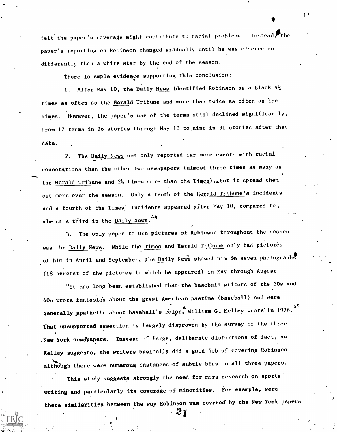felt the paper's coverage might contribute to racial problems. Instead, the paper's reporting on Robinson changed gradually until he was covered no 1 differently than a white star by the end of the season.

There is ample evidence supporting this conclusion:

1. After May 10, the  $\overrightarrow{\text{parity News}}$  identified Robinson as a black  $4\frac{1}{2}$ times as often as the <u>Herald Tribune</u> and more than twice as often as the Times. However, the paper's use of the terms still declined significantly, from 17 terms in 26 stories through May 10 to nine in 31 stories after that date.

2. The Daily News not only reported far more events with racial connotations than the other two 'newspapers (almost three times as many as the Herald Tribune and  $2\frac{1}{2}$  times more than the  $\frac{r_{\text{1meas}}}{r_{\text{20}}}\text{ but it spread them}$ out more over the season. Only a tenth of the Herald Tribune's incidents and a fourth of the Times' incidents appeared after May 10, compared to, almost a third in the Daily News. 44

3. The only paper to use pictures of Rebinson throughout the season was the Daily News. While the Times and Herald Tribune only had pictures of him in April and September, the Daily News showed him in seven photographs (18 percent of the pictures in which he appeared) in May through August.

"It has long been established that the baseball writers of the 30s and 40s wrote fantasiq's about the great American pastime (baseball) and were generally apathetic about baseball's color, William G. Kelley wrote in 1976. $^{45}$ That unsupported assertion is largely disproven by the survey of the three New York newspapers. Instead of large, deliberate distortions of fact, as Kelley suggests, the writers basically did a good job of covering Robinson although there were numerous instances of subtle bias on all three papers.

This study suggests strongly the need for more research on sportswriting and particularly its coverage of minorities. For example, were there similarities between the way Robinson was covered by the New York papers

21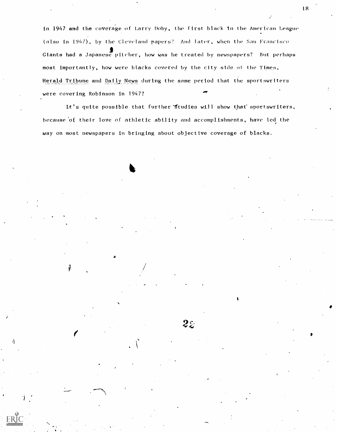in 1947 and the coverage of Larry Doby, the f irst. black In the American League (also in 1947), by the Cleveland papers? And later, when the San Francisco Giants had a Japanese pitcher, how was he treated by newspapers? But perhaps most importantly, how were blacks covered by the city side of the Times, Herald Tribune and Daily News during the same period that the sportswriters were covering Robinson in 1947?

It's quite possible that further fitudies will show that sportswriters, because of their love of athletic ability and accomplishments, have led the way on most newspapers in bringing about objective coverage of blacks.

 $2z$ 

k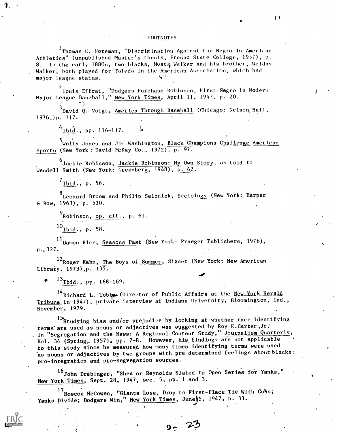#### FOOTNOTES

<sup>1</sup> Thomas E. Foreman, "Discrimination Against the Negro in American Athletics" (unpublished Master's thesis, Fresno State College, 1957), p. 8. In the early 1880s, two blacks, Moses Walker and his brother, Welday Walker, both played for Toledo in the American Association, which had major league status.

 $2$ Louis Effrat, "Dodgers Purchase Robinson, First Negro in Modern Major League Baseball," New York Times, April 11, 1947, p. 20.

 $3$ David Q. Voigt, America Through Baseball (Chicago: Nelson-Hall, 1976,)p. 117.

 $^{4}$ Ibid., pp. 116-117.

5Wally Jones and Jim Washington, Black Champions Challenge American Sports (New York: David McKay Co., 1972), p. 97.

<sup>6</sup>Jackie Robinson, Jackie Robinson: My Own Story, as told to Wendell Smith (New York:  $G$ reenberg, 1948), p.  $62$ .

 $'$ Ibid., p. 56.

<sup>8</sup>Leonard Broom and Philip Selznick, Sociology (New York: Harper & Row, 1963), p, 530.

 $^{9}$ Robinson, op. cit., p. 61.

 $^{10}$ Ibid., p. 58.

P.4327: 11 Damon Rice, Seasons Past (New York: Praeger Publishers, 1976),

12 Roger Kahn, The Boys of Summer, Signet (New York: New American Library,  $1973$ ), p.  $135$ .

 $^{13}$ Ibid., pp. 168-169.

 $14$ Richard L. Tobin. (Director of Public Affairs at the New York Herald Tribune in 1947), private interview at Indiana University, Bloomington, Ind., November, 1979.

15<sub>4</sub> Studying bias and/or prejudice by looking at whether race identifying terms are used as nouns or adjectives was suggested by Roy E.Carter, Jr. In "Segregation and the News: A Regional Content Study," Journalism Quarterly, Vol. 34 (Spring, 1957), pp. 7-8. However, his findings are not applicable to this study since he measured how many times identifying terms were used as nouns or adjectives by two groups with pre-determined feelings about blacks: pro-integration and pro-segregation sources.

16 John Drebinger, "Shea or Reynolds Slated to Open Series for Yanks," New York Times, Sept. 28, 1947, sec. 5, pp..1 and 3.

17 Roscoe McGowen, "Giants Lose, Drop to First-Place Tie With Cubs; Yanks Divide; Dodgers Win," New York Times, June 5, 1947, p. 33.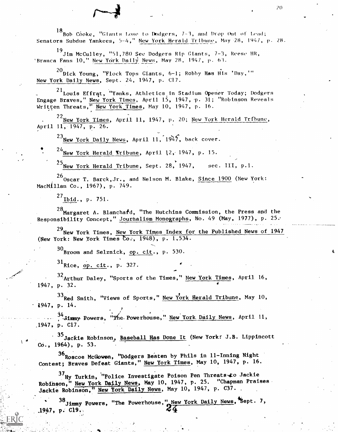$^{18}$ Bob Cóoke, "Giants Lose to Dodgers, 7-3, and Drop Out of Lead; Senators Subdue Yankees, 5-4," New York Herald Tribune, May -28, 194/, p. 28.

 $^{19}$ Jim McCulley, "51,780 See Dodgers Rip Giants, 7-3, Reese HR, Branca Fans 10," New York Daily News, May 28, 1947, p. 63.

 $^{20}$ Dick Young, "Flock Tops Giants, 6-1; Robby Has His 'Day,'" New York Daily News, Sept. 24, 1947, p. C17.

21 Louis Effrat, "Yanks, Athletics in Stadium Opener Today; Dodgers Engage Braves," New York Times, April 15, 1947, p. 31; "Robinson Reveals Written Threats," New York Times, May 10, 1947, p. 16.

 $22$ New York Times, April 11, 1947, p. 20; New York Herald Tribune, April 11,-1947, p. 26.

 $^{23}$ New York Daily News, April 11, 1947, back cover.

 $24$ New York Herald Tribune, April 12, 1947, p. 15.

 $^{25}$ New York Herald Tribune, Sept. 28, 1947, sec. III, p.1.

 $^{26}$ Oscar T. Barck, Jr., and Nelson M. Blake, Since 1900 (New York: MacMillan Co., 1967), p. 749.

 $^{27}$ Ibid., p. 751.

 $28$ Margaret A. Blanchard, "The Hutchins Commission, the Press and the Responsibility Concept," Journalism Monographs, No. 49 (May, 1977), p. 25.

29 New York Times, New York Times Index for the Published News of 1947 (New York: New York Times  $\overline{c}$ o., 1948), p. 1,534.

30 Broom and Selznick, op. cit., p. 530.

 $31$ Rice, op. cit., p. 327.

 $32$ Arthur Daley, "Sports of the Times," New York Times, April 16, 1947, p. 32.

 $33$ Red Smith, "Views of Sports," New York Herald Tribune, May 10,  $1947$ , p. 14.

34 Jinny Powers, "The Powerhouse," New York Daily News, April 11, 1947, p. C17.

 $\frac{6266}{1964}$ , p. 53. . 35 Jackie Robinson, Baseball Has Done It (New York: J.B. Lippincott

 $^{36}$ Roscoe Mc $6$ owen, "Dodgers Beaten by Phils in 11-Inning Night Contest; Braves Defeat Giants," New York Times, May 10, 1947, p. 16.

<sup>37</sup>Hy Turkin, "Police Investigate Poison Pen Threats to Jackie Robihson," New York Daily. News, May 10, 1947, p. 25. "Chapman Praises Jackie Robinson," New York Daily News, May 10, 1947, p. C37.

38 Jimmy Powers, "The Powerhouse," New York Daily News, Sept. 7,  $.1947, p. C19,$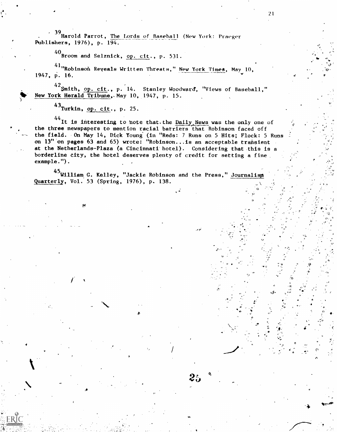$\sim$  39 Harold Parrot, The Lords of Baseball (New York: Praeger Publishers, 1976), p. 194.-

40<br>Broom and Selznick, <u>op. cit</u>., p. 531.

41"Robinsoň Reveals Written Threats," New York Times, May 10, which is a straight that the set of the set of the 1947, P. 16.

4<sup>2</sup>Smith, op. cit., p. 14. Stanley Woodward, "Views of Baseball," New York Herald Tribune, May 10, 1947, p. 15.

 $43$ Turkin, op. cit., p. 25.

4

<sup>44</sup>It is interesting to note that. the Daily News was the only one of  $\frac{1}{2}$ the three newspapers to mention racial barriers that Robinson faced off the field. On May 14, Dick Young (in "Reds: 7 Runs on 5 Hits; Flock: 5 Runs & North Control of the State of Te on 13" on pages 63 and 65) wrote: "Robinson...is an acceptable transient  $\qquad \qquad$ at the Netherlands-Plaza (a Cincinnati hotel). Considering that.this is a borderline city, the hotel deserves plenty of credit for setting a fine example.").

 $25$   $\,^{\circ}$  .

s.

 $\mathbf{p}$ 

a

.

 $\mathbf{n}$  . The set of  $\mathbf{n}$ 

 $\ddot{\mathbf{y}}$  and  $\ddot{\mathbf{y}}$ 

 $\bullet$ 

 $^{45}$ William G. Kelley, "Jackie Robinson and the Press," Journalism Quarterly, Vol. 53 (Spring, 1976), p. 138.

Andrew Controller

7ti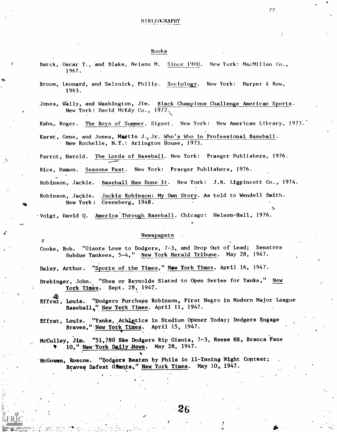'17

#### Books

Barck, Oscar T., and Blake, Nelson M. Since 1900. New York: MacMillan Co., 1967.

Broom, Leonard, and Selznick, Philip. Sociology. New York: Harper & Row, 1963.

Jones, Wally, and Washington, Jim. Black Champions Challenge American Sports. New York: David McKay Co., 1972.

Kahn, Roger. The Boys of Summer. Signet. New York: New American Library, 1973..

Karst, Gene, and Jones, Maxtin J.,Jr. Who's Who in Professional Baseball. New Rochelle, N.Y.: Arlington House, 1973.

Parrot, Harold. The Lords of Baseball. New York: Praeger Publishers, 1976.

Rice, Damon. Seasons Past. New York: Praeger Publishers, 1976.

Robinson, Jackie. <u>Baseball Has Done It</u>. New York: J.B. Ligpincott Co., 1974.

411.-

Robinson, Jackie. New York: Greenberg, 1948. Jackie Robinson: My Own Story. As told to Wendell Smith.

 $\cdot$ Voigt, David Q. America Through Baseball. Chicago: Nelson-Hall, 1976.

#### Newspapers

Cooke, Bob. "Giants Lose to Dodgers, 7-3, and Drop Out of Lead; Senators Subdue Yankees, 5-4," New York Herald Tribune. May 28, 1947.

Daley, Arthur. "Sports of the Times," New York Times. April 16, 1947.

Drebinger, John. "Shea or Reynolds Slated to Open Series for Yanks," New York Times. Sept. 28, 1947.

Effrat, Louis. "Dodgers Purchape Robinson, First Negro in Modern Major-League Baseball," New York Times. April 11, 1947.

Effrat, Louis. "Yanks, Athletics in Stadium Opener Today; Dodgers Engage Braves," New York Times. April 15, 1947.

McCulley, Jim. "51,780 See Dodgers Rip Giants, 7-3, Reese HR, Branca Fans 10," New York Daily News. May 28, 1947.

'McGowan, Roscoe. "podgers Beaten by Phils in 11-Inning Night Contest; Braves Defeat Grants," New York Times. May 10, 1947.

 $\mathbf{v} = -\mathbf{v}$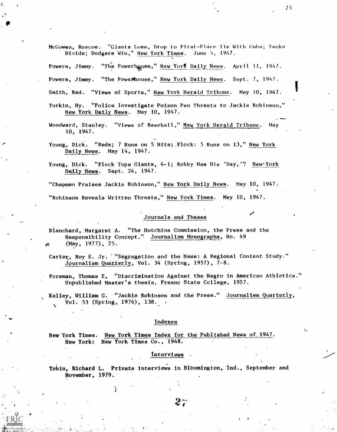McGowen, Roscoe. "Giants Lose, Drop to First-Place Tie With Cubs; Yanks Divide; Dodgers Win," New York Times. June 5, 1947.

"The Powerhouse," New York Daily News. Powers, Jimmy. April 11, 1947.

Powers, Jimmy. "The Powerhouse," New York Daily News. Sept. 7, 1947.

Smith, Red. "Views of Sports," New York Herald Tribune. May 10, 1947.

- Turkin, Hy. "Police Investigate Poison Pen Threats to Jackie Robinson," New York Daily News. May 10, 1947.
- Woodward, Stanley. "Views of Baseball," New York Herald Tribune. May 10, 1947.
- Young, Dick. "Reds; 7 Runs on 5 Hits; Flock: 5 Runs on 13," New York Daily News. May 14, 1947.

Young, Dick. "Flock Tops Giants, 6-1; Robby Has His 'Day, " New York Daily News. Sept. 24, 1947.

"Chapman Praises Jackie Robinson," New York Daily News. May 10, 1947.

"Robinson Reveals Written Threats," New York Times. May 10, 1947.

#### Journals and Theses

Blanchard, Margaret A. "The Hutchins Commission, the Press and the Responsibility Concept." Journalism Monographs, No. 49  $(May, 1977), 25.$ 

Carter, Roy E. Jr. '"Segregation and the News: A Regional Content Study." Journalism Quarterly, Vol. 34 (Spring, 1957), 7-8.

Foreman, Thomas E, "Discrimination Against the Negro in American Athletics." Unpublished Master's thesis, Fresno State College, 1957.

Kelley, William G. "Jackie Robinson and the Press." Journalism Quarterly, Vol. 53 (Spring, 1976), 138.

#### Indexes

New York Times. New York Times Index for the Published News of 1947. New York: New York Times Co., 1948.

#### Interviews.

Tobin, Richard L. Private interviews in Bloomington, Ind., September and November, 1979.